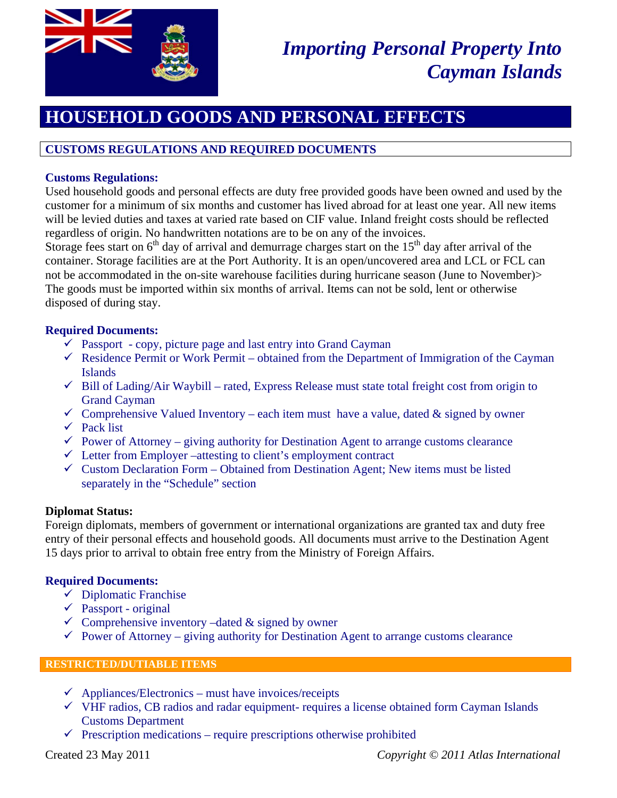

# *Importing Personal Property Into Cayman Islands*

# **HOUSEHOLD GOODS AND PERSONAL EFFECTS**

## **CUSTOMS REGULATIONS AND REQUIRED DOCUMENTS**

#### **Customs Regulations:**

Used household goods and personal effects are duty free provided goods have been owned and used by the customer for a minimum of six months and customer has lived abroad for at least one year. All new items will be levied duties and taxes at varied rate based on CIF value. Inland freight costs should be reflected regardless of origin. No handwritten notations are to be on any of the invoices.

Storage fees start on  $6<sup>th</sup>$  day of arrival and demurrage charges start on the  $15<sup>th</sup>$  day after arrival of the container. Storage facilities are at the Port Authority. It is an open/uncovered area and LCL or FCL can not be accommodated in the on-site warehouse facilities during hurricane season (June to November)> The goods must be imported within six months of arrival. Items can not be sold, lent or otherwise disposed of during stay.

#### **Required Documents:**

- $\checkmark$  Passport copy, picture page and last entry into Grand Cayman
- $\checkmark$  Residence Permit or Work Permit obtained from the Department of Immigration of the Cayman Islands
- $\checkmark$  Bill of Lading/Air Waybill rated, Express Release must state total freight cost from origin to Grand Cayman
- $\checkmark$  Comprehensive Valued Inventory each item must have a value, dated & signed by owner
- $\checkmark$  Pack list
- $\checkmark$  Power of Attorney giving authority for Destination Agent to arrange customs clearance
- $\checkmark$  Letter from Employer –attesting to client's employment contract
- $\checkmark$  Custom Declaration Form Obtained from Destination Agent; New items must be listed separately in the "Schedule" section

#### **Diplomat Status:**

Foreign diplomats, members of government or international organizations are granted tax and duty free entry of their personal effects and household goods. All documents must arrive to the Destination Agent 15 days prior to arrival to obtain free entry from the Ministry of Foreign Affairs.

#### **Required Documents:**

- $\checkmark$  Diplomatic Franchise
- $\checkmark$  Passport original
- $\checkmark$  Comprehensive inventory –dated & signed by owner
- $\checkmark$  Power of Attorney giving authority for Destination Agent to arrange customs clearance

#### **RESTRICTED/DUTIABLE ITEMS**

- $\checkmark$  Appliances/Electronics must have invoices/receipts
- $\checkmark$  VHF radios, CB radios and radar equipment- requires a license obtained form Cayman Islands Customs Department
- $\checkmark$  Prescription medications require prescriptions otherwise prohibited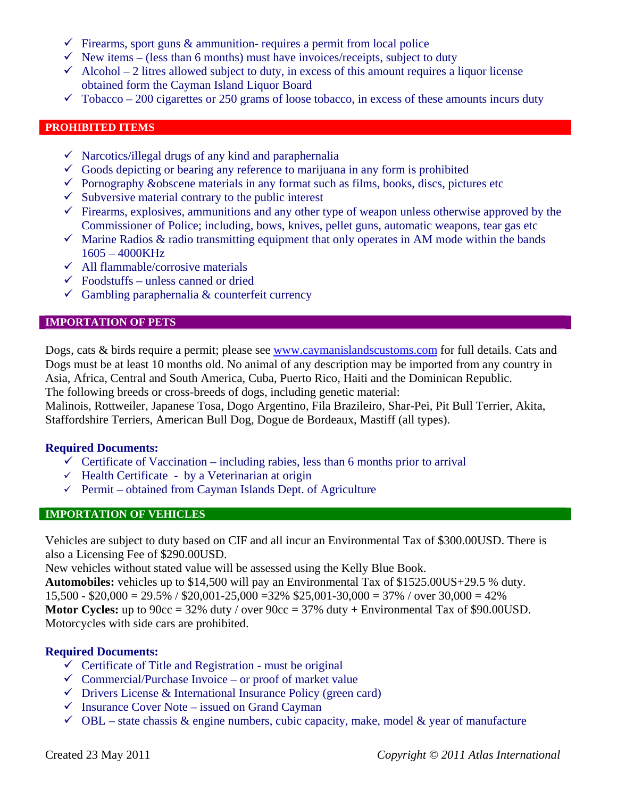- $\checkmark$  Firearms, sport guns & ammunition- requires a permit from local police
- $\checkmark$  New items (less than 6 months) must have invoices/receipts, subject to duty
- $\checkmark$  Alcohol 2 litres allowed subject to duty, in excess of this amount requires a liquor license obtained form the Cayman Island Liquor Board
- $\checkmark$  Tobacco 200 cigarettes or 250 grams of loose tobacco, in excess of these amounts incurs duty

#### **PROHIBITED ITEMS**

- $\checkmark$  Narcotics/illegal drugs of any kind and paraphernalia
- $\checkmark$  Goods depicting or bearing any reference to marijuana in any form is prohibited
- $\checkmark$  Pornography &obscene materials in any format such as films, books, discs, pictures etc
- $\checkmark$  Subversive material contrary to the public interest
- $\checkmark$  Firearms, explosives, ammunitions and any other type of weapon unless otherwise approved by the Commissioner of Police; including, bows, knives, pellet guns, automatic weapons, tear gas etc
- $\checkmark$  Marine Radios & radio transmitting equipment that only operates in AM mode within the bands 1605 – 4000KHz
- $\checkmark$  All flammable/corrosive materials
- $\checkmark$  Foodstuffs unless canned or dried
- $\checkmark$  Gambling paraphernalia & counterfeit currency

#### **IMPORTATION OF PETS**

Dogs, cats & birds require a permit; please see www.caymanislandscustoms.com for full details. Cats and Dogs must be at least 10 months old. No animal of any description may be imported from any country in Asia, Africa, Central and South America, Cuba, Puerto Rico, Haiti and the Dominican Republic. The following breeds or cross-breeds of dogs, including genetic material:

Malinois, Rottweiler, Japanese Tosa, Dogo Argentino, Fila Brazileiro, Shar-Pei, Pit Bull Terrier, Akita, Staffordshire Terriers, American Bull Dog, Dogue de Bordeaux, Mastiff (all types).

#### **Required Documents:**

- $\checkmark$  Certificate of Vaccination including rabies, less than 6 months prior to arrival
- $\checkmark$  Health Certificate by a Veterinarian at origin
- $\checkmark$  Permit obtained from Cayman Islands Dept. of Agriculture

#### **IMPORTATION OF VEHICLES**

Vehicles are subject to duty based on CIF and all incur an Environmental Tax of \$300.00USD. There is also a Licensing Fee of \$290.00USD.

New vehicles without stated value will be assessed using the Kelly Blue Book.

**Automobiles:** vehicles up to \$14,500 will pay an Environmental Tax of \$1525.00US+29.5 % duty.  $15,500 - $20,000 = 29.5\%$  /  $$20,001 - 25,000 = 32\%$  \$25,001-30,000 = 37% / over 30,000 = 42% **Motor Cycles:** up to  $90cc = 32\%$  duty / over  $90cc = 37\%$  duty + Environmental Tax of \$90.00USD. Motorcycles with side cars are prohibited.

#### **Required Documents:**

- $\checkmark$  Certificate of Title and Registration must be original
- $\checkmark$  Commercial/Purchase Invoice or proof of market value
- $\checkmark$  Drivers License & International Insurance Policy (green card)
- $\checkmark$  Insurance Cover Note issued on Grand Cayman
- $\checkmark$  OBL state chassis & engine numbers, cubic capacity, make, model & year of manufacture